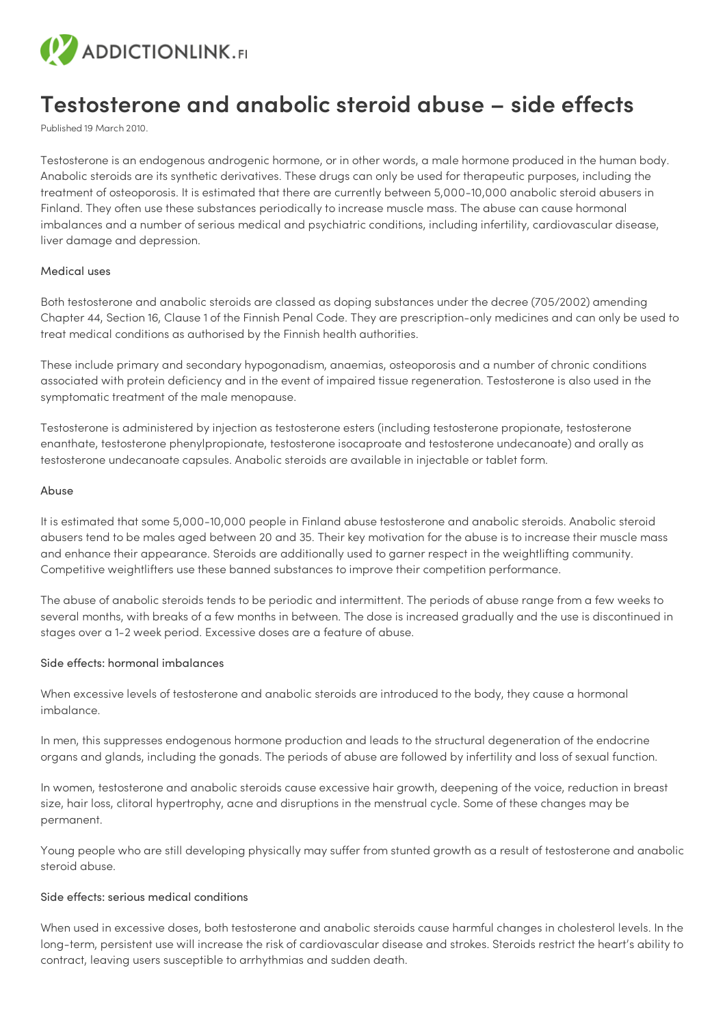

# **Testosterone and anabolic steroid abuse – side effects**

Published 19 March 2010.

Testosterone is an endogenous androgenic hormone, or in other words, a male hormone produced in the human body. Anabolic steroids are its synthetic derivatives. These drugs can only be used for therapeutic purposes, including the treatment of osteoporosis. It is estimated that there are currently between 5,000-10,000 anabolic steroid abusers in Finland. They often use these substances periodically to increase muscle mass. The abuse can cause hormonal imbalances and a number of serious medical and psychiatric conditions, including infertility, cardiovascular disease, liver damage and depression.

## Medical uses

Both testosterone and anabolic steroids are classed as doping substances under the decree (705/2002) amending Chapter 44, Section 16, Clause 1 of the Finnish Penal Code. They are prescription-only medicines and can only be used to treat medical conditions as authorised by the Finnish health authorities.

These include primary and secondary hypogonadism, anaemias, osteoporosis and a number of chronic conditions associated with protein deficiency and in the event of impaired tissue regeneration. Testosterone is also used in the symptomatic treatment of the male menopause.

Testosterone is administered by injection as testosterone esters (including testosterone propionate, testosterone enanthate, testosterone phenylpropionate, testosterone isocaproate and testosterone undecanoate) and orally as testosterone undecanoate capsules. Anabolic steroids are available in injectable or tablet form.

#### Abuse

It is estimated that some 5,000-10,000 people in Finland abuse testosterone and anabolic steroids. Anabolic steroid abusers tend to be males aged between 20 and 35. Their key motivation for the abuse is to increase their muscle mass and enhance their appearance. Steroids are additionally used to garner respect in the weightlifting community. Competitive weightlifters use these banned substances to improve their competition performance.

The abuse of anabolic steroids tends to be periodic and intermittent. The periods of abuse range from a few weeks to several months, with breaks of a few months in between. The dose is increased gradually and the use is discontinued in stages over a 1-2 week period. Excessive doses are a feature of abuse.

## Side effects: hormonal imbalances

When excessive levels of testosterone and anabolic steroids are introduced to the body, they cause a hormonal imbalance.

In men, this suppresses endogenous hormone production and leads to the structural degeneration of the endocrine organs and glands, including the gonads. The periods of abuse are followed by infertility and loss of sexual function.

In women, testosterone and anabolic steroids cause excessive hair growth, deepening of the voice, reduction in breast size, hair loss, clitoral hypertrophy, acne and disruptions in the menstrual cycle. Some of these changes may be permanent.

Young people who are still developing physically may suffer from stunted growth as a result of testosterone and anabolic steroid abuse.

#### Side effects: serious medical conditions

When used in excessive doses, both testosterone and anabolic steroids cause harmful changes in cholesterol levels. In the long-term, persistent use will increase the risk of cardiovascular disease and strokes. Steroids restrict the heart's ability to contract, leaving users susceptible to arrhythmias and sudden death.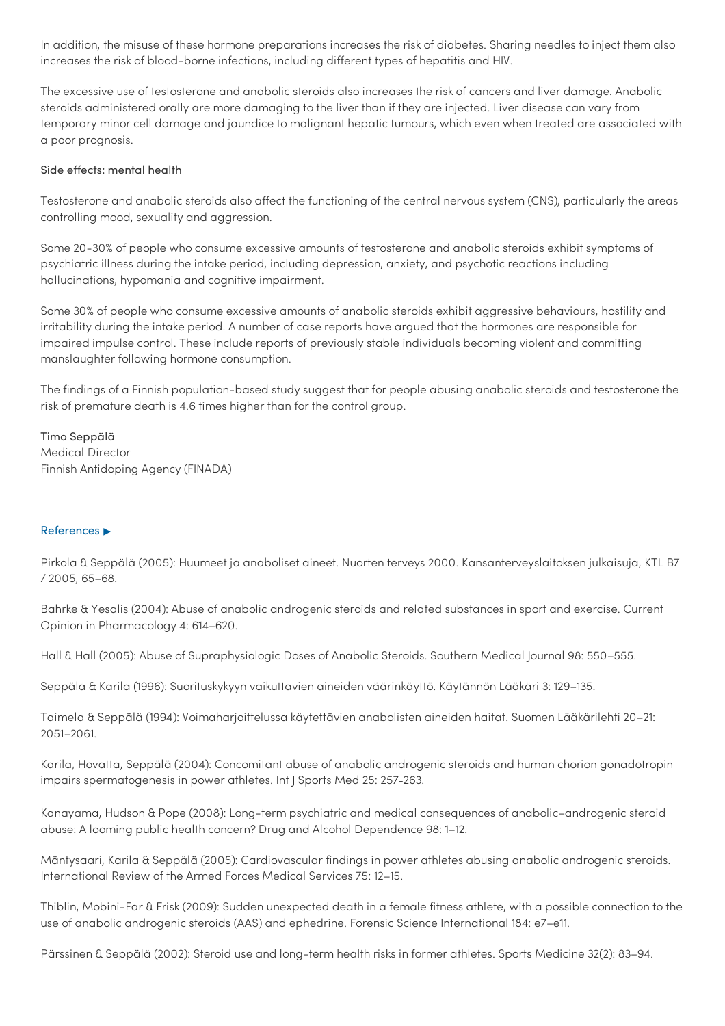In addition, the misuse of these hormone preparations increases the risk of diabetes. Sharing needles to inject them also increases the risk of blood-borne infections, including different types of hepatitis and HIV.

The excessive use of testosterone and anabolic steroids also increases the risk of cancers and liver damage. Anabolic steroids administered orally are more damaging to the liver than if they are injected. Liver disease can vary from temporary minor cell damage and jaundice to malignant hepatic tumours, which even when treated are associated with a poor prognosis.

## Side effects: mental health

Testosterone and anabolic steroids also affect the functioning of the central nervous system (CNS), particularly the areas controlling mood, sexuality and aggression.

Some 20-30% of people who consume excessive amounts of testosterone and anabolic steroids exhibit symptoms of psychiatric illness during the intake period, including depression, anxiety, and psychotic reactions including hallucinations, hypomania and cognitive impairment.

Some 30% of people who consume excessive amounts of anabolic steroids exhibit aggressive behaviours, hostility and irritability during the intake period. A number of case reports have argued that the hormones are responsible for impaired impulse control. These include reports of previously stable individuals becoming violent and committing manslaughter following hormone consumption.

The findings of a Finnish population-based study suggest that for people abusing anabolic steroids and testosterone the risk of premature death is 4.6 times higher than for the control group.

Timo Seppälä Medical Director Finnish Antidoping Agency (FINADA)

## References ▶

Pirkola & Seppälä (2005): Huumeet ja anaboliset aineet. Nuorten terveys 2000. Kansanterveyslaitoksen julkaisuja, KTL B7 / 2005, 65–68.

Bahrke & Yesalis (2004): Abuse of anabolic androgenic steroids and related substances in sport and exercise. Current Opinion in Pharmacology 4: 614–620.

Hall & Hall (2005): Abuse of Supraphysiologic Doses of Anabolic Steroids. Southern Medical Journal 98: 550–555.

Seppälä & Karila (1996): Suorituskykyyn vaikuttavien aineiden väärinkäyttö. Käytännön Lääkäri 3: 129–135.

Taimela & Seppälä (1994): Voimaharjoittelussa käytettävien anabolisten aineiden haitat. Suomen Lääkärilehti 20–21: 2051–2061.

Karila, Hovatta, Seppälä (2004): Concomitant abuse of anabolic androgenic steroids and human chorion gonadotropin impairs spermatogenesis in power athletes. Int J Sports Med 25: 257–263.

Kanayama, Hudson & Pope (2008): Long-term psychiatric and medical consequences of anabolic–androgenic steroid abuse: A looming public health concern? Drug and Alcohol Dependence 98: 1–12.

Mäntysaari, Karila & Seppälä (2005): Cardiovascular findings in power athletes abusing anabolic androgenic steroids. International Review of the Armed Forces Medical Services 75: 12–15.

Thiblin, Mobini-Far & Frisk (2009): Sudden unexpected death in a female fitness athlete, with a possible connection to the use of anabolic androgenic steroids (AAS) and ephedrine. Forensic Science International 184: e7–e11.

Pärssinen & Seppälä (2002): Steroid use and long-term health risks in former athletes. Sports Medicine 32(2): 83–94.